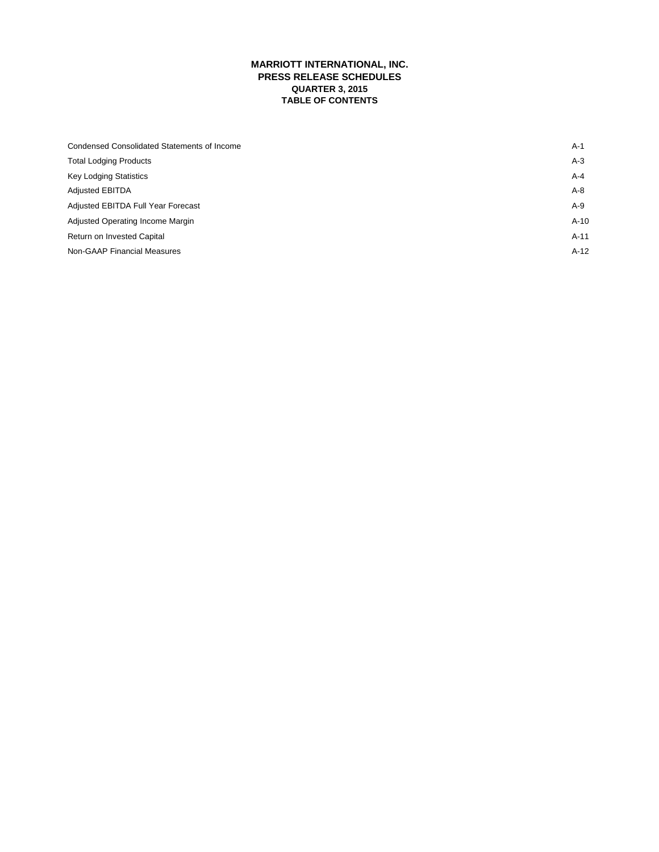# **MARRIOTT INTERNATIONAL, INC. PRESS RELEASE SCHEDULES QUARTER 3, 2015 TABLE OF CONTENTS**

| Condensed Consolidated Statements of Income | $A-1$   |
|---------------------------------------------|---------|
| <b>Total Lodging Products</b>               | $A-3$   |
| <b>Key Lodging Statistics</b>               | $A - 4$ |
| <b>Adjusted EBITDA</b>                      | $A-8$   |
| Adjusted EBITDA Full Year Forecast          | $A-9$   |
| Adjusted Operating Income Margin            | $A-10$  |
| Return on Invested Capital                  | $A-11$  |
| Non-GAAP Financial Measures                 | $A-12$  |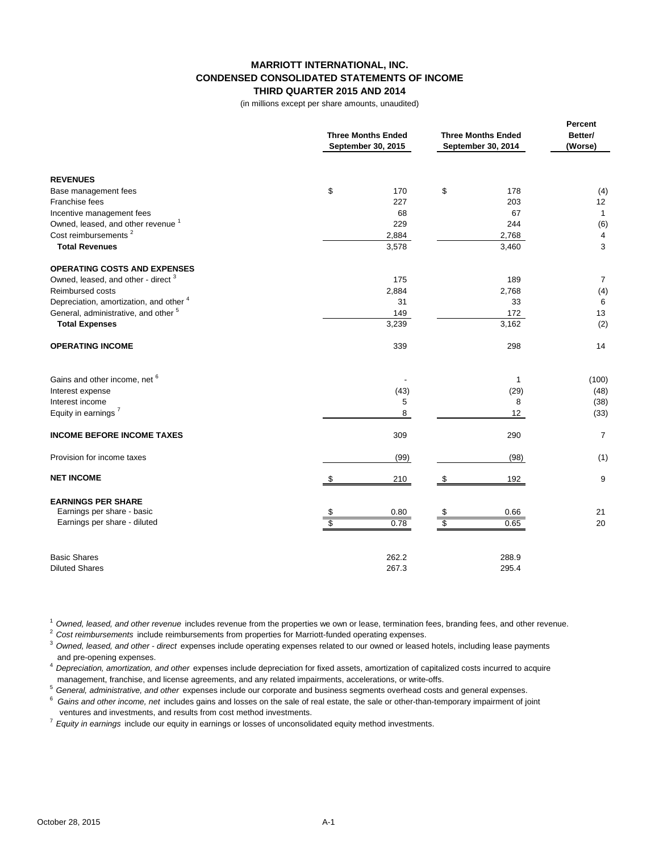# **MARRIOTT INTERNATIONAL, INC. CONDENSED CONSOLIDATED STATEMENTS OF INCOME THIRD QUARTER 2015 AND 2014**

(in millions except per share amounts, unaudited)

|                                                 | <b>Three Months Ended</b><br>September 30, 2015 | <b>Three Months Ended</b><br>September 30, 2014 | Percent<br>Better/<br>(Worse) |  |
|-------------------------------------------------|-------------------------------------------------|-------------------------------------------------|-------------------------------|--|
| <b>REVENUES</b>                                 |                                                 |                                                 |                               |  |
| Base management fees                            | \$<br>170                                       | \$<br>178                                       | (4)                           |  |
| Franchise fees                                  | 227                                             | 203                                             | 12                            |  |
| Incentive management fees                       | 68                                              | 67                                              | $\mathbf{1}$                  |  |
| Owned, leased, and other revenue <sup>1</sup>   | 229                                             | 244                                             | (6)                           |  |
| Cost reimbursements <sup>2</sup>                | 2,884                                           | 2,768                                           | 4                             |  |
| <b>Total Revenues</b>                           | 3,578                                           | 3,460                                           | 3                             |  |
| <b>OPERATING COSTS AND EXPENSES</b>             |                                                 |                                                 |                               |  |
| Owned, leased, and other - direct <sup>3</sup>  | 175                                             | 189                                             | $\overline{7}$                |  |
| Reimbursed costs                                | 2,884                                           | 2,768                                           | (4)                           |  |
| Depreciation, amortization, and other 4         | 31                                              | 33                                              | 6                             |  |
| General, administrative, and other <sup>5</sup> | 149                                             | 172                                             | 13                            |  |
| <b>Total Expenses</b>                           | 3,239                                           | 3,162                                           | (2)                           |  |
| <b>OPERATING INCOME</b>                         | 339                                             | 298                                             | 14                            |  |
| Gains and other income, net 6                   |                                                 | $\mathbf{1}$                                    | (100)                         |  |
| Interest expense                                | (43)                                            | (29)                                            | (48)                          |  |
| Interest income                                 | 5                                               | 8                                               | (38)                          |  |
| Equity in earnings <sup>7</sup>                 | 8                                               | 12                                              | (33)                          |  |
| <b>INCOME BEFORE INCOME TAXES</b>               | 309                                             | 290                                             | $\overline{7}$                |  |
| Provision for income taxes                      | (99)                                            | (98)                                            | (1)                           |  |
| <b>NET INCOME</b>                               | 210<br>\$                                       | 192<br>- \$                                     | 9                             |  |
| <b>EARNINGS PER SHARE</b>                       |                                                 |                                                 |                               |  |
| Earnings per share - basic                      | 0.80<br>\$<br>$\overline{\$}$                   | \$<br>0.66                                      | 21                            |  |
| Earnings per share - diluted                    | 0.78                                            | s<br>0.65                                       | 20                            |  |
| <b>Basic Shares</b>                             | 262.2                                           | 288.9                                           |                               |  |
| <b>Diluted Shares</b>                           | 267.3                                           | 295.4                                           |                               |  |

<sup>1</sup>*Owned, leased, and other revenue* includes revenue from the properties we own or lease, termination fees, branding fees, and other revenue.

<sup>2</sup>*Cost reimbursements* include reimbursements from properties for Marriott-funded operating expenses.

<sup>3</sup>*Owned, leased, and other - direct* expenses include operating expenses related to our owned or leased hotels, including lease payments and pre-opening expenses.

<sup>4</sup>*Depreciation, amortization, and other* expenses include depreciation for fixed assets, amortization of capitalized costs incurred to acquire management, franchise, and license agreements, and any related impairments, accelerations, or write-offs.

<sup>5</sup>*General, administrative, and other* expenses include our corporate and business segments overhead costs and general expenses.

6 *Gains and other income, net* includes gains and losses on the sale of real estate, the sale or other-than-temporary impairment of joint ventures and investments, and results from cost method investments.

<sup>7</sup>*Equity in earnings* include our equity in earnings or losses of unconsolidated equity method investments.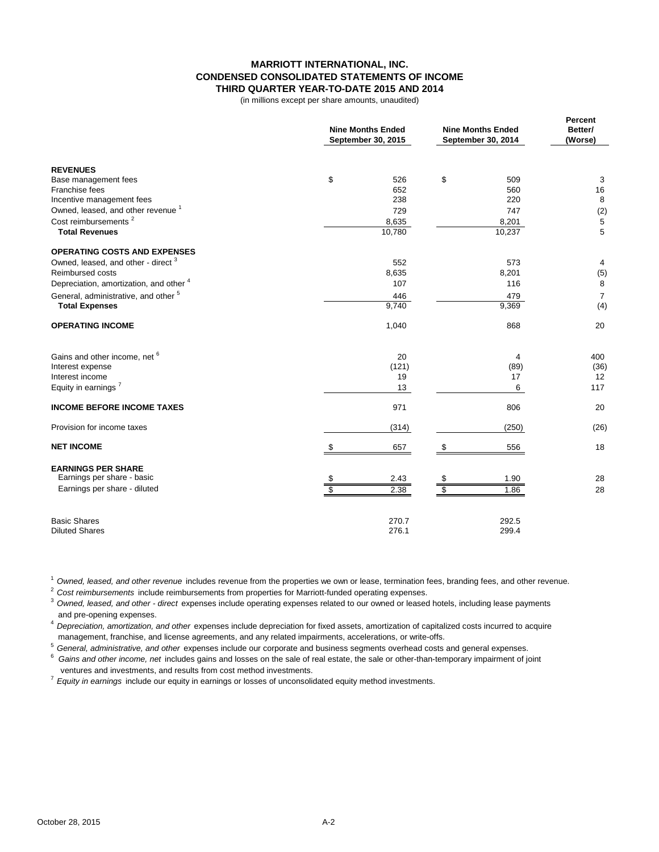## **MARRIOTT INTERNATIONAL, INC. CONDENSED CONSOLIDATED STATEMENTS OF INCOME THIRD QUARTER YEAR-TO-DATE 2015 AND 2014**

(in millions except per share amounts, unaudited)

|                                                 | <b>Nine Months Ended</b><br>September 30, 2015 | <b>Nine Months Ended</b><br>September 30, 2014 | Percent<br>Better/<br>(Worse) |  |
|-------------------------------------------------|------------------------------------------------|------------------------------------------------|-------------------------------|--|
| <b>REVENUES</b>                                 |                                                |                                                |                               |  |
| Base management fees                            | \$<br>526                                      | \$<br>509                                      | 3                             |  |
| Franchise fees                                  | 652                                            | 560                                            | 16                            |  |
| Incentive management fees                       | 238                                            | 220                                            | 8                             |  |
| Owned, leased, and other revenue <sup>1</sup>   | 729                                            | 747                                            | (2)                           |  |
| Cost reimbursements <sup>2</sup>                | 8,635                                          | 8,201                                          | 5                             |  |
| <b>Total Revenues</b>                           | 10,780                                         | 10,237                                         | 5                             |  |
| <b>OPERATING COSTS AND EXPENSES</b>             |                                                |                                                |                               |  |
| Owned, leased, and other - direct <sup>3</sup>  | 552                                            | 573                                            | 4                             |  |
| <b>Reimbursed costs</b>                         | 8,635                                          | 8,201                                          | (5)                           |  |
| Depreciation, amortization, and other 4         | 107                                            | 116                                            | 8                             |  |
| General, administrative, and other <sup>5</sup> | 446                                            | 479                                            | $\overline{7}$                |  |
| <b>Total Expenses</b>                           | 9,740                                          | 9,369                                          | (4)                           |  |
| <b>OPERATING INCOME</b>                         | 1,040                                          | 868                                            | 20                            |  |
| Gains and other income, net 6                   | 20                                             | 4                                              | 400                           |  |
| Interest expense                                | (121)                                          | (89)                                           | (36)                          |  |
| Interest income                                 | 19                                             | 17                                             | 12                            |  |
| Equity in earnings <sup>7</sup>                 | 13                                             | 6                                              | 117                           |  |
| <b>INCOME BEFORE INCOME TAXES</b>               | 971                                            | 806                                            | 20                            |  |
| Provision for income taxes                      | (314)                                          | (250)                                          | (26)                          |  |
| <b>NET INCOME</b>                               | \$<br>657                                      | 556<br>S.                                      | 18                            |  |
| <b>EARNINGS PER SHARE</b>                       |                                                |                                                |                               |  |
| Earnings per share - basic                      | 2.43<br>\$                                     | 1.90<br>\$                                     | 28                            |  |
| Earnings per share - diluted                    | 2.38                                           | $\overline{\mathbb{S}}$<br>1.86                | 28                            |  |
| <b>Basic Shares</b>                             | 270.7                                          | 292.5                                          |                               |  |
| <b>Diluted Shares</b>                           | 276.1                                          | 299.4                                          |                               |  |

<sup>1</sup>*Owned, leased, and other revenue* includes revenue from the properties we own or lease, termination fees, branding fees, and other revenue.

<sup>2</sup>*Cost reimbursements* include reimbursements from properties for Marriott-funded operating expenses.

<sup>3</sup>*Owned, leased, and other - direct* expenses include operating expenses related to our owned or leased hotels, including lease payments and pre-opening expenses.

<sup>4</sup>*Depreciation, amortization, and other* expenses include depreciation for fixed assets, amortization of capitalized costs incurred to acquire management, franchise, and license agreements, and any related impairments, accelerations, or write-offs.

<sup>5</sup>*General, administrative, and other* expenses include our corporate and business segments overhead costs and general expenses.

6 *Gains and other income, net* includes gains and losses on the sale of real estate, the sale or other-than-temporary impairment of joint ventures and investments, and results from cost method investments.

<sup>7</sup>*Equity in earnings* include our equity in earnings or losses of unconsolidated equity method investments.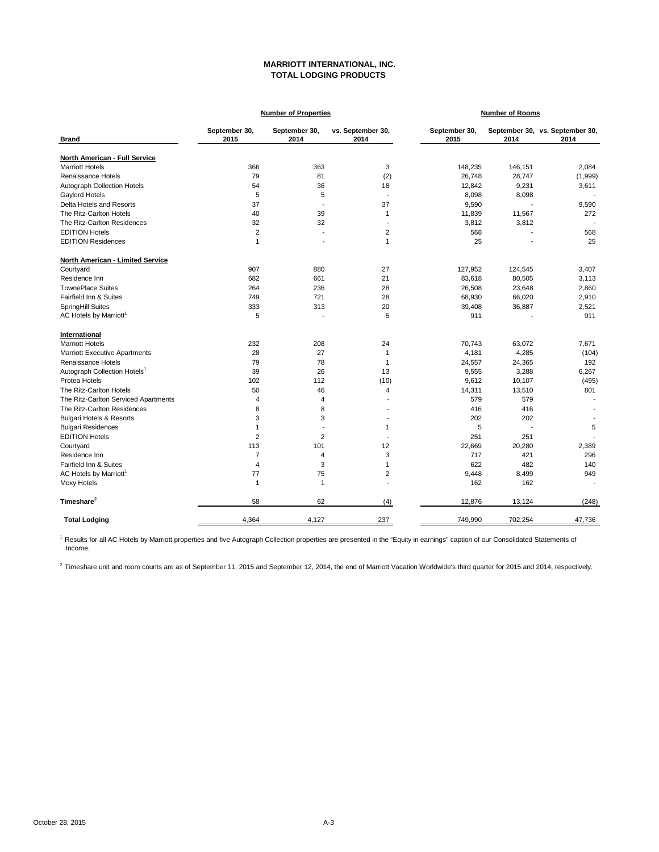## **MARRIOTT INTERNATIONAL, INC. TOTAL LODGING PRODUCTS**

|                                          |                       | <b>Number of Properties</b> |                           | <b>Number of Rooms</b> |                |                                         |  |
|------------------------------------------|-----------------------|-----------------------------|---------------------------|------------------------|----------------|-----------------------------------------|--|
| <b>Brand</b>                             | September 30,<br>2015 | September 30,<br>2014       | vs. September 30,<br>2014 | September 30,<br>2015  | 2014           | September 30, vs. September 30,<br>2014 |  |
| North American - Full Service            |                       |                             |                           |                        |                |                                         |  |
| <b>Marriott Hotels</b>                   | 366                   | 363                         | 3                         | 148,235                | 146,151        | 2,084                                   |  |
| Renaissance Hotels                       | 79                    | 81                          | (2)                       | 26,748                 | 28,747         | (1,999)                                 |  |
| <b>Autograph Collection Hotels</b>       | 54                    | 36                          | 18                        | 12,842                 | 9,231          | 3,611                                   |  |
| Gaylord Hotels                           | 5                     | 5                           | $\overline{a}$            | 8,098                  | 8,098          |                                         |  |
| Delta Hotels and Resorts                 | 37                    | ÷,                          | 37                        | 9,590                  |                | 9,590                                   |  |
| The Ritz-Carlton Hotels                  | 40                    | 39                          | $\mathbf{1}$              | 11,839                 | 11,567         | 272                                     |  |
| The Ritz-Carlton Residences              | 32                    | 32                          | $\overline{a}$            | 3,812                  | 3,812          |                                         |  |
| <b>EDITION Hotels</b>                    | $\overline{2}$        | $\overline{\phantom{a}}$    | $\overline{\mathbf{c}}$   | 568                    |                | 568                                     |  |
| <b>EDITION Residences</b>                | 1                     | $\overline{\phantom{a}}$    | $\mathbf{1}$              | 25                     | $\overline{a}$ | 25                                      |  |
| North American - Limited Service         |                       |                             |                           |                        |                |                                         |  |
| Courtyard                                | 907                   | 880                         | 27                        | 127,952                | 124,545        | 3,407                                   |  |
| Residence Inn                            | 682                   | 661                         | 21                        | 83,618                 | 80,505         | 3,113                                   |  |
| <b>TownePlace Suites</b>                 | 264                   | 236                         | 28                        | 26,508                 | 23,648         | 2,860                                   |  |
| Fairfield Inn & Suites                   | 749                   | 721                         | 28                        | 68,930                 | 66,020         | 2,910                                   |  |
| SpringHill Suites                        | 333                   | 313                         | 20                        | 39,408                 | 36,887         | 2,521                                   |  |
| AC Hotels by Marriott <sup>1</sup>       | 5                     |                             | 5                         | 911                    |                | 911                                     |  |
| International                            |                       |                             |                           |                        |                |                                         |  |
| <b>Marriott Hotels</b>                   | 232                   | 208                         | 24                        | 70,743                 | 63,072         | 7,671                                   |  |
| <b>Marriott Executive Apartments</b>     | 28                    | 27                          | $\mathbf{1}$              | 4,181                  | 4,285          | (104)                                   |  |
| Renaissance Hotels                       | 79                    | 78                          | $\mathbf{1}$              | 24,557                 | 24,365         | 192                                     |  |
| Autograph Collection Hotels <sup>1</sup> | 39                    | 26                          | 13                        | 9,555                  | 3,288          | 6,267                                   |  |
| Protea Hotels                            | 102                   | 112                         | (10)                      | 9,612                  | 10,107         | (495)                                   |  |
| The Ritz-Carlton Hotels                  | 50                    | 46                          | 4                         | 14,311                 | 13,510         | 801                                     |  |
| The Ritz-Carlton Serviced Apartments     | 4                     | 4                           |                           | 579                    | 579            |                                         |  |
| The Ritz-Carlton Residences              | 8                     | 8                           |                           | 416                    | 416            | $\overline{\phantom{a}}$                |  |
| <b>Bulgari Hotels &amp; Resorts</b>      | 3                     | 3                           |                           | 202                    | 202            |                                         |  |
| <b>Bulgari Residences</b>                | 1                     |                             | 1                         | 5                      | Ĭ.             | 5                                       |  |
| <b>EDITION Hotels</b>                    | 2                     | 2                           |                           | 251                    | 251            |                                         |  |
| Courtyard                                | 113                   | 101                         | 12                        | 22,669                 | 20,280         | 2,389                                   |  |
| Residence Inn                            | $\overline{7}$        | 4                           | 3                         | 717                    | 421            | 296                                     |  |
| Fairfield Inn & Suites                   | 4                     | 3                           | 1                         | 622                    | 482            | 140                                     |  |
| AC Hotels by Marriott <sup>1</sup>       | 77                    | 75                          | $\overline{2}$            | 9,448                  | 8,499          | 949                                     |  |
| Moxy Hotels                              | $\mathbf{1}$          | $\mathbf{1}$                |                           | 162                    | 162            |                                         |  |
| Timeshare <sup>2</sup>                   | 58                    | 62                          | (4)                       | 12,876                 | 13,124         | (248)                                   |  |
| <b>Total Lodging</b>                     | 4,364                 | 4,127                       | 237                       | 749,990                | 702,254        | 47,736                                  |  |

<sup>1</sup> Results for all AC Hotels by Marriott properties and five Autograph Collection properties are presented in the "Equity in earnings" caption of our Consolidated Statements of Income.

 $^2$  Timeshare unit and room counts are as of September 11, 2015 and September 12, 2014, the end of Marriott Vacation Worldwide's third quarter for 2015 and 2014, respectively.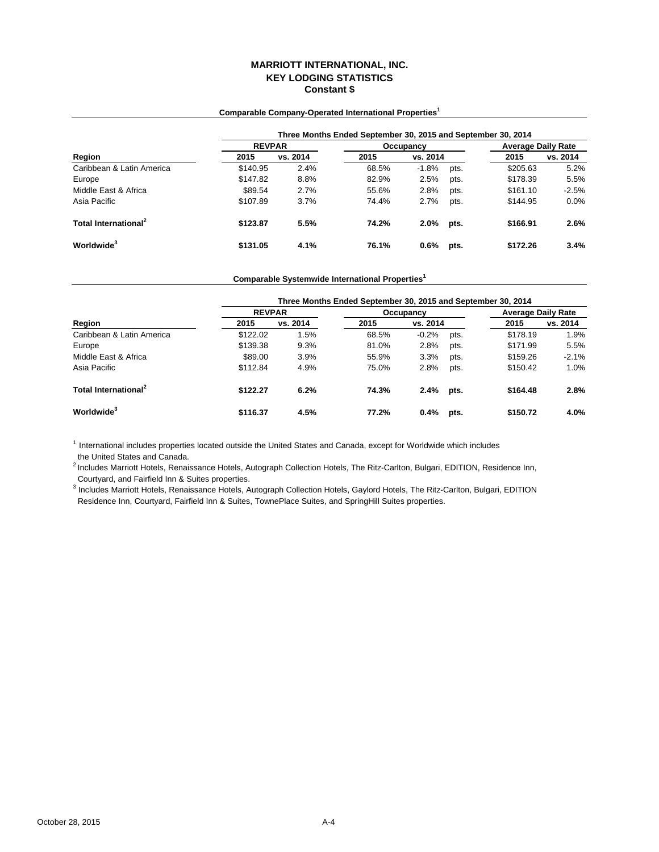## **MARRIOTT INTERNATIONAL, INC. KEY LODGING STATISTICS Constant \$**

# **Three Months Ended September 30, 2015 and September 30, 2014 Region 2015 vs. 2014 2015 2015 vs. 2014** Caribbean & Latin America **1.8%** 68.5% -1.8% pts. \$205.63 5.2% Europe 68.5% 5.2% **Europe** 68.5% 68.5% pts. \$178.39 5.5% Europe \$147.82 8.8% 82.9% 2.5% pts. \$178.39 5.5% Middle East & Africa **589.54** 2.7% 55.6% 2.8% pts. \$161.10 -2.5% 9.8% pts. \$161.10 -2.5% pts. \$161.10 -2.5% pts. \$144.95 and \$107.89 3.7% 74.4% 2.7% pts. \$144.95 and \$145.95 and \$107.89 and \$107.89 and \$14.95 and \$144.95 a Asia Pacific \$107.89 3.7% 74.4% 2.7% pts. \$144.95 0.0% **Total International<sup>2</sup> \$123.87 5.5% 74.2% 2.0% pts. \$166.91 2.6% Worldwide<sup>3</sup> \$131.05 4.1% 76.1% 0.6% pts. \$172.26 3.4% REVPAR Occupancy Average Daily Rate**<br> **2015 vs.** 2014 **COLLET 10.11 COLLET 10.11 AVERIES vs. 2014**

### **Comparable Company-Operated International Properties<sup>1</sup>**

**Comparable Systemwide International Properties<sup>1</sup>**

|                                  | Three Months Ended September 30, 2015 and September 30, 2014 |          |       |           |      |                           |          |  |  |
|----------------------------------|--------------------------------------------------------------|----------|-------|-----------|------|---------------------------|----------|--|--|
|                                  | <b>REVPAR</b>                                                |          |       | Occupancy |      | <b>Average Daily Rate</b> |          |  |  |
| Region                           | 2015                                                         | vs. 2014 | 2015  | vs. 2014  |      | 2015                      | vs. 2014 |  |  |
| Caribbean & Latin America        | \$122.02                                                     | 1.5%     | 68.5% | $-0.2%$   | pts. | \$178.19                  | 1.9%     |  |  |
| Europe                           | \$139.38                                                     | 9.3%     | 81.0% | 2.8%      | pts. | \$171.99                  | 5.5%     |  |  |
| Middle East & Africa             | \$89.00                                                      | 3.9%     | 55.9% | 3.3%      | pts. | \$159.26                  | $-2.1%$  |  |  |
| Asia Pacific                     | \$112.84                                                     | 4.9%     | 75.0% | 2.8%      | pts. | \$150.42                  | 1.0%     |  |  |
| Total International <sup>2</sup> | \$122.27                                                     | 6.2%     | 74.3% | 2.4%      | pts. | \$164.48                  | 2.8%     |  |  |
| Worldwide <sup>3</sup>           | \$116.37                                                     | 4.5%     | 77.2% | 0.4%      | pts. | \$150.72                  | 4.0%     |  |  |

 $<sup>1</sup>$  International includes properties located outside the United States and Canada, except for Worldwide which includes</sup> the United States and Canada.

 Courtyard, and Fairfield Inn & Suites properties. <sup>2</sup> Includes Marriott Hotels, Renaissance Hotels, Autograph Collection Hotels, The Ritz-Carlton, Bulgari, EDITION, Residence Inn,

3 Includes Marriott Hotels, Renaissance Hotels, Autograph Collection Hotels, Gaylord Hotels, The Ritz-Carlton, Bulgari, EDITION Residence Inn, Courtyard, Fairfield Inn & Suites, TownePlace Suites, and SpringHill Suites properties.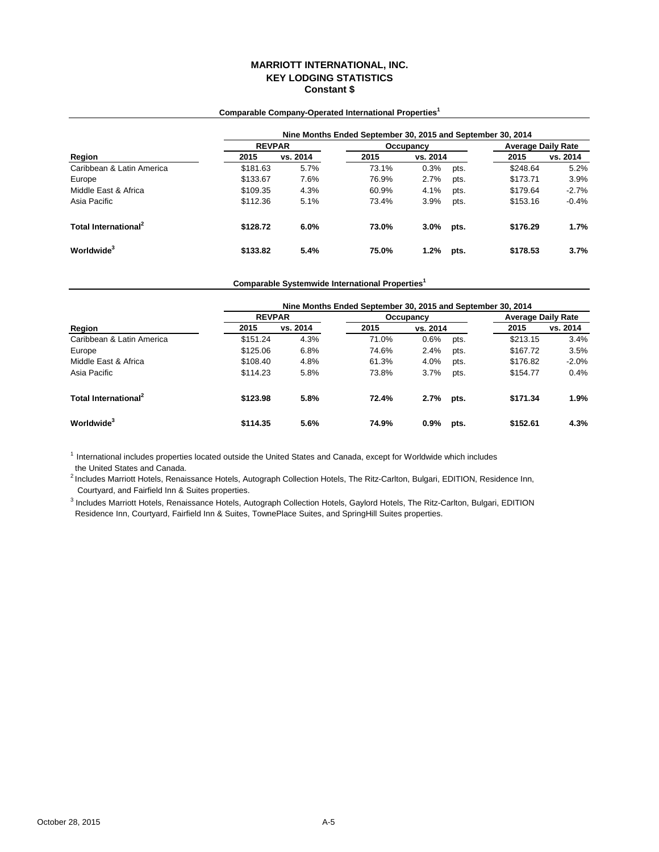# **MARRIOTT INTERNATIONAL, INC. KEY LODGING STATISTICS Constant \$**

|                                  |               |          | Nine Months Ended September 30, 2015 and September 30, 2014 |           |      |                           |          |  |
|----------------------------------|---------------|----------|-------------------------------------------------------------|-----------|------|---------------------------|----------|--|
|                                  | <b>REVPAR</b> |          |                                                             | Occupancy |      | <b>Average Daily Rate</b> |          |  |
| Region                           | 2015          | vs. 2014 | 2015                                                        | vs. 2014  |      | 2015                      | vs. 2014 |  |
| Caribbean & Latin America        | \$181.63      | 5.7%     | 73.1%                                                       | 0.3%      | pts. | \$248.64                  | 5.2%     |  |
| Europe                           | \$133.67      | 7.6%     | 76.9%                                                       | 2.7%      | pts. | \$173.71                  | 3.9%     |  |
| Middle East & Africa             | \$109.35      | 4.3%     | 60.9%                                                       | 4.1%      | pts. | \$179.64                  | $-2.7%$  |  |
| Asia Pacific                     | \$112.36      | 5.1%     | 73.4%                                                       | 3.9%      | pts. | \$153.16                  | $-0.4%$  |  |
| Total International <sup>2</sup> | \$128.72      | 6.0%     | 73.0%                                                       | 3.0%      | pts. | \$176.29                  | 1.7%     |  |
| Worldwide <sup>3</sup>           | \$133.82      | 5.4%     | 75.0%                                                       | 1.2%      | pts. | \$178.53                  | 3.7%     |  |

# **Comparable Company-Operated International Properties<sup>1</sup>**

# **Comparable Systemwide International Properties<sup>1</sup>**

|                                  |               | Nine Months Ended September 30, 2015 and September 30, 2014 |           |          |      |                           |          |  |  |  |  |
|----------------------------------|---------------|-------------------------------------------------------------|-----------|----------|------|---------------------------|----------|--|--|--|--|
| Region                           | <b>REVPAR</b> |                                                             | Occupancy |          |      | <b>Average Daily Rate</b> |          |  |  |  |  |
|                                  | 2015          | vs. 2014                                                    | 2015      | vs. 2014 |      | 2015                      | vs. 2014 |  |  |  |  |
| Caribbean & Latin America        | \$151.24      | 4.3%                                                        | 71.0%     | 0.6%     | pts. | \$213.15                  | 3.4%     |  |  |  |  |
| Europe                           | \$125.06      | 6.8%                                                        | 74.6%     | 2.4%     | pts. | \$167.72                  | 3.5%     |  |  |  |  |
| Middle East & Africa             | \$108.40      | 4.8%                                                        | 61.3%     | 4.0%     | pts. | \$176.82                  | $-2.0%$  |  |  |  |  |
| Asia Pacific                     | \$114.23      | 5.8%                                                        | 73.8%     | 3.7%     | pts. | \$154.77                  | 0.4%     |  |  |  |  |
| Total International <sup>2</sup> | \$123.98      | 5.8%                                                        | 72.4%     | 2.7%     | pts. | \$171.34                  | 1.9%     |  |  |  |  |
| Worldwide <sup>3</sup>           | \$114.35      | 5.6%                                                        | 74.9%     | $0.9\%$  | pts. | \$152.61                  | 4.3%     |  |  |  |  |

<sup>1</sup> International includes properties located outside the United States and Canada, except for Worldwide which includes the United States and Canada.

 Courtyard, and Fairfield Inn & Suites properties. <sup>2</sup> Includes Marriott Hotels, Renaissance Hotels, Autograph Collection Hotels, The Ritz-Carlton, Bulgari, EDITION, Residence Inn,

<sup>3</sup> Includes Marriott Hotels, Renaissance Hotels, Autograph Collection Hotels, Gaylord Hotels, The Ritz-Carlton, Bulgari, EDITION Residence Inn, Courtyard, Fairfield Inn & Suites, TownePlace Suites, and SpringHill Suites properties.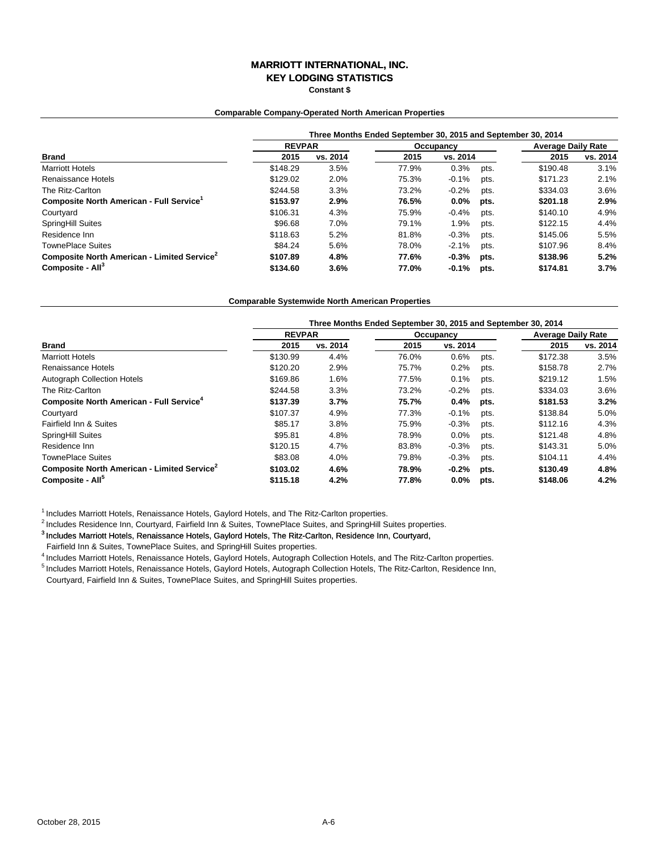# **MARRIOTT INTERNATIONAL, INC.**

**KEY LODGING STATISTICS**

**Constant \$**

### **Comparable Company-Operated North American Properties**

|                                                         | Three Months Ended September 30, 2015 and September 30, 2014 |          |           |          |      |                           |          |  |  |
|---------------------------------------------------------|--------------------------------------------------------------|----------|-----------|----------|------|---------------------------|----------|--|--|
| <b>Brand</b>                                            | <b>REVPAR</b>                                                |          | Occupancy |          |      | <b>Average Daily Rate</b> |          |  |  |
|                                                         | 2015                                                         | vs. 2014 | 2015      | vs. 2014 |      | 2015                      | vs. 2014 |  |  |
| <b>Marriott Hotels</b>                                  | \$148.29                                                     | 3.5%     | 77.9%     | 0.3%     | pts. | \$190.48                  | 3.1%     |  |  |
| Renaissance Hotels                                      | \$129.02                                                     | 2.0%     | 75.3%     | $-0.1%$  | pts. | \$171.23                  | 2.1%     |  |  |
| The Ritz-Carlton                                        | \$244.58                                                     | 3.3%     | 73.2%     | $-0.2%$  | pts. | \$334.03                  | 3.6%     |  |  |
| Composite North American - Full Service <sup>1</sup>    | \$153.97                                                     | 2.9%     | 76.5%     | $0.0\%$  | pts. | \$201.18                  | 2.9%     |  |  |
| Courtyard                                               | \$106.31                                                     | 4.3%     | 75.9%     | $-0.4%$  | pts. | \$140.10                  | 4.9%     |  |  |
| <b>SpringHill Suites</b>                                | \$96.68                                                      | 7.0%     | 79.1%     | 1.9%     | pts. | \$122.15                  | 4.4%     |  |  |
| Residence Inn                                           | \$118.63                                                     | 5.2%     | 81.8%     | $-0.3%$  | pts. | \$145.06                  | 5.5%     |  |  |
| <b>TownePlace Suites</b>                                | \$84.24                                                      | 5.6%     | 78.0%     | $-2.1%$  | pts. | \$107.96                  | 8.4%     |  |  |
| Composite North American - Limited Service <sup>2</sup> | \$107.89                                                     | 4.8%     | 77.6%     | $-0.3%$  | pts. | \$138.96                  | 5.2%     |  |  |
| Composite - All <sup>3</sup>                            | \$134.60                                                     | 3.6%     | 77.0%     | $-0.1%$  | pts. | \$174.81                  | 3.7%     |  |  |

#### **Comparable Systemwide North American Properties**

|                                                         | Three Months Ended September 30, 2015 and September 30, 2014 |          |           |          |      |                           |          |  |  |
|---------------------------------------------------------|--------------------------------------------------------------|----------|-----------|----------|------|---------------------------|----------|--|--|
|                                                         | <b>REVPAR</b>                                                |          | Occupancy |          |      | <b>Average Daily Rate</b> |          |  |  |
| <b>Brand</b>                                            | 2015                                                         | vs. 2014 | 2015      | vs. 2014 |      | 2015                      | vs. 2014 |  |  |
| <b>Marriott Hotels</b>                                  | \$130.99                                                     | 4.4%     | 76.0%     | 0.6%     | pts. | \$172.38                  | 3.5%     |  |  |
| Renaissance Hotels                                      | \$120.20                                                     | 2.9%     | 75.7%     | 0.2%     | pts. | \$158.78                  | 2.7%     |  |  |
| <b>Autograph Collection Hotels</b>                      | \$169.86                                                     | 1.6%     | 77.5%     | 0.1%     | pts. | \$219.12                  | 1.5%     |  |  |
| The Ritz-Carlton                                        | \$244.58                                                     | 3.3%     | 73.2%     | $-0.2%$  | pts. | \$334.03                  | 3.6%     |  |  |
| Composite North American - Full Service <sup>4</sup>    | \$137.39                                                     | 3.7%     | 75.7%     | 0.4%     | pts. | \$181.53                  | 3.2%     |  |  |
| Courtyard                                               | \$107.37                                                     | 4.9%     | 77.3%     | $-0.1%$  | pts. | \$138.84                  | 5.0%     |  |  |
| Fairfield Inn & Suites                                  | \$85.17                                                      | 3.8%     | 75.9%     | $-0.3%$  | pts. | \$112.16                  | 4.3%     |  |  |
| <b>SpringHill Suites</b>                                | \$95.81                                                      | 4.8%     | 78.9%     | $0.0\%$  | pts. | \$121.48                  | 4.8%     |  |  |
| Residence Inn                                           | \$120.15                                                     | 4.7%     | 83.8%     | $-0.3%$  | pts. | \$143.31                  | 5.0%     |  |  |
| <b>TownePlace Suites</b>                                | \$83.08                                                      | 4.0%     | 79.8%     | $-0.3%$  | pts. | \$104.11                  | 4.4%     |  |  |
| Composite North American - Limited Service <sup>2</sup> | \$103.02                                                     | 4.6%     | 78.9%     | $-0.2%$  | pts. | \$130.49                  | 4.8%     |  |  |
| Composite - All <sup>3</sup>                            | \$115.18                                                     | 4.2%     | 77.8%     | $0.0\%$  | pts. | \$148.06                  | 4.2%     |  |  |

 $1$  Includes Marriott Hotels, Renaissance Hotels, Gaylord Hotels, and The Ritz-Carlton properties.

<sup>2</sup> Includes Residence Inn, Courtyard, Fairfield Inn & Suites, TownePlace Suites, and SpringHill Suites properties.

3 Includes Marriott Hotels, Renaissance Hotels, Gaylord Hotels, The Ritz-Carlton, Residence Inn, Courtyard,

Fairfield Inn & Suites, TownePlace Suites, and SpringHill Suites properties.

<sup>4</sup> Includes Marriott Hotels, Renaissance Hotels, Gaylord Hotels, Autograph Collection Hotels, and The Ritz-Carlton properties. 5 Includes Marriott Hotels, Renaissance Hotels, Gaylord Hotels, Autograph Collection Hotels, The Ritz-Carlton, Residence Inn, Courtyard, Fairfield Inn & Suites, TownePlace Suites, and SpringHill Suites properties.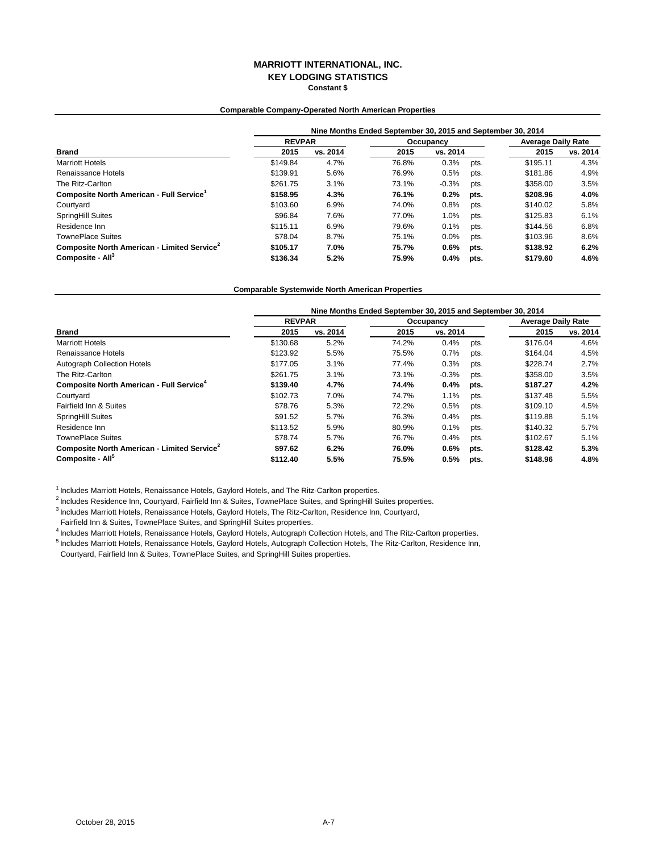### **MARRIOTT INTERNATIONAL, INC. KEY LODGING STATISTICS Constant \$**

### **Comparable Company-Operated North American Properties**

|                                                         | Nine Months Ended September 30, 2015 and September 30, 2014 |          |           |          |      |                           |          |  |  |
|---------------------------------------------------------|-------------------------------------------------------------|----------|-----------|----------|------|---------------------------|----------|--|--|
| <b>Brand</b>                                            | <b>REVPAR</b>                                               |          | Occupancy |          |      | <b>Average Daily Rate</b> |          |  |  |
|                                                         | 2015                                                        | vs. 2014 | 2015      | vs. 2014 |      | 2015                      | vs. 2014 |  |  |
| <b>Marriott Hotels</b>                                  | \$149.84                                                    | 4.7%     | 76.8%     | 0.3%     | pts. | \$195.11                  | 4.3%     |  |  |
| Renaissance Hotels                                      | \$139.91                                                    | 5.6%     | 76.9%     | 0.5%     | pts. | \$181.86                  | 4.9%     |  |  |
| The Ritz-Carlton                                        | \$261.75                                                    | 3.1%     | 73.1%     | $-0.3%$  | pts. | \$358.00                  | 3.5%     |  |  |
| Composite North American - Full Service <sup>1</sup>    | \$158.95                                                    | 4.3%     | 76.1%     | 0.2%     | pts. | \$208.96                  | 4.0%     |  |  |
| Courtyard                                               | \$103.60                                                    | 6.9%     | 74.0%     | 0.8%     | pts. | \$140.02                  | 5.8%     |  |  |
| SpringHill Suites                                       | \$96.84                                                     | 7.6%     | 77.0%     | 1.0%     | pts. | \$125.83                  | 6.1%     |  |  |
| Residence Inn                                           | \$115.11                                                    | 6.9%     | 79.6%     | 0.1%     | pts. | \$144.56                  | 6.8%     |  |  |
| <b>TownePlace Suites</b>                                | \$78.04                                                     | 8.7%     | 75.1%     | 0.0%     | pts. | \$103.96                  | 8.6%     |  |  |
| Composite North American - Limited Service <sup>2</sup> | \$105.17                                                    | 7.0%     | 75.7%     | $0.6\%$  | pts. | \$138.92                  | 6.2%     |  |  |
| Composite - All <sup>3</sup>                            | \$136.34                                                    | 5.2%     | 75.9%     | 0.4%     | pts. | \$179.60                  | 4.6%     |  |  |

#### **Comparable Systemwide North American Properties**

|                                                         | Nine Months Ended September 30, 2015 and September 30, 2014 |          |           |          |      |                           |          |  |
|---------------------------------------------------------|-------------------------------------------------------------|----------|-----------|----------|------|---------------------------|----------|--|
|                                                         | <b>REVPAR</b>                                               |          | Occupancy |          |      | <b>Average Daily Rate</b> |          |  |
| <b>Brand</b>                                            | 2015                                                        | vs. 2014 | 2015      | vs. 2014 |      | 2015                      | vs. 2014 |  |
| <b>Marriott Hotels</b>                                  | \$130.68                                                    | 5.2%     | 74.2%     | 0.4%     | pts. | \$176.04                  | 4.6%     |  |
| Renaissance Hotels                                      | \$123.92                                                    | 5.5%     | 75.5%     | 0.7%     | pts. | \$164.04                  | 4.5%     |  |
| <b>Autograph Collection Hotels</b>                      | \$177.05                                                    | 3.1%     | 77.4%     | 0.3%     | pts. | \$228.74                  | 2.7%     |  |
| The Ritz-Carlton                                        | \$261.75                                                    | 3.1%     | 73.1%     | $-0.3%$  | pts. | \$358.00                  | 3.5%     |  |
| Composite North American - Full Service <sup>4</sup>    | \$139.40                                                    | 4.7%     | 74.4%     | 0.4%     | pts. | \$187.27                  | 4.2%     |  |
| Courtyard                                               | \$102.73                                                    | 7.0%     | 74.7%     | 1.1%     | pts. | \$137.48                  | 5.5%     |  |
| Fairfield Inn & Suites                                  | \$78.76                                                     | 5.3%     | 72.2%     | 0.5%     | pts. | \$109.10                  | 4.5%     |  |
| SpringHill Suites                                       | \$91.52                                                     | 5.7%     | 76.3%     | 0.4%     | pts. | \$119.88                  | 5.1%     |  |
| Residence Inn                                           | \$113.52                                                    | 5.9%     | 80.9%     | 0.1%     | pts. | \$140.32                  | 5.7%     |  |
| <b>TownePlace Suites</b>                                | \$78.74                                                     | 5.7%     | 76.7%     | 0.4%     | pts. | \$102.67                  | 5.1%     |  |
| Composite North American - Limited Service <sup>2</sup> | \$97.62                                                     | 6.2%     | 76.0%     | 0.6%     | pts. | \$128.42                  | 5.3%     |  |
| Composite - All <sup>5</sup>                            | \$112.40                                                    | 5.5%     | 75.5%     | $0.5\%$  | pts. | \$148.96                  | 4.8%     |  |

 $1$  Includes Marriott Hotels, Renaissance Hotels, Gaylord Hotels, and The Ritz-Carlton properties.

<sup>2</sup> Includes Residence Inn, Courtyard, Fairfield Inn & Suites, TownePlace Suites, and SpringHill Suites properties.

3 Includes Marriott Hotels, Renaissance Hotels, Gaylord Hotels, The Ritz-Carlton, Residence Inn, Courtyard,

Fairfield Inn & Suites, TownePlace Suites, and SpringHill Suites properties.

4 Includes Marriott Hotels, Renaissance Hotels, Gaylord Hotels, Autograph Collection Hotels, and The Ritz-Carlton properties.

5 Includes Marriott Hotels, Renaissance Hotels, Gaylord Hotels, Autograph Collection Hotels, The Ritz-Carlton, Residence Inn,

Courtyard, Fairfield Inn & Suites, TownePlace Suites, and SpringHill Suites properties.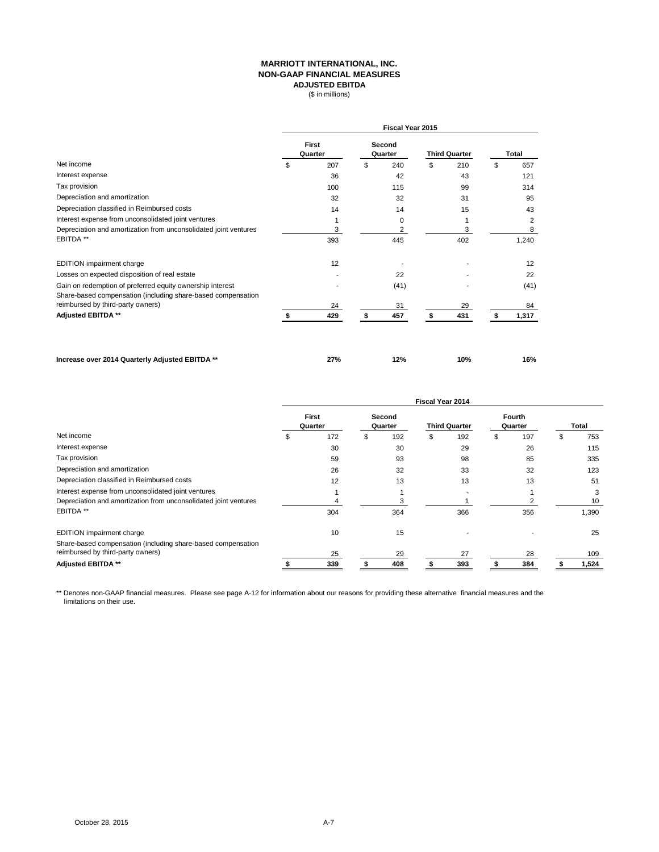#### **MARRIOTT INTERNATIONAL, INC. NON-GAAP FINANCIAL MEASURES ADJUSTED EBITDA**  $($ \in \mathbb{R} \cup \mathbb{R} \cup \mathbb{R} \cup \mathbb{R} \cup \mathbb{R} \cup \mathbb{R} \cup \mathbb{R} \cup \mathbb{R} \cup \mathbb{R} \cup \mathbb{R} \cup \mathbb{R} \cup \mathbb{R} \cup \mathbb{R} \cup \mathbb{R} \cup \mathbb{R} \cup \mathbb{R} \cup \mathbb{R} \cup \mathbb{R} \cup \mathbb{R} \cup \mathbb{R} \cup \mathbb{R} \cup \mathbb{R} \cup \mathbb{R} \cup \mathbb{R} \cup \mathbb{R} \cup \mathbb{R} \cup \mathbb{R} \cup \$

|                                                                                                                           |                         |     |                   | <b>Fiscal Year 2015</b> |                      |     |                |
|---------------------------------------------------------------------------------------------------------------------------|-------------------------|-----|-------------------|-------------------------|----------------------|-----|----------------|
|                                                                                                                           | <b>First</b><br>Quarter |     | Second<br>Quarter |                         | <b>Third Quarter</b> |     | <b>Total</b>   |
| Net income                                                                                                                | \$                      | 207 | \$                | 240                     | \$                   | 210 | \$<br>657      |
| Interest expense                                                                                                          |                         | 36  |                   | 42                      |                      | 43  | 121            |
| Tax provision                                                                                                             |                         | 100 |                   | 115                     |                      | 99  | 314            |
| Depreciation and amortization                                                                                             |                         | 32  |                   | 32                      |                      | 31  | 95             |
| Depreciation classified in Reimbursed costs                                                                               |                         | 14  |                   | 14                      |                      | 15  | 43             |
| Interest expense from unconsolidated joint ventures                                                                       |                         | 1   |                   | 0                       |                      | 1   | $\overline{2}$ |
| Depreciation and amortization from unconsolidated joint ventures                                                          |                         | 3   |                   | 2                       |                      | 3   | 8              |
| EBITDA **                                                                                                                 |                         | 393 |                   | 445                     |                      | 402 | 1,240          |
| EDITION impairment charge                                                                                                 |                         | 12  |                   |                         |                      |     | 12             |
| Losses on expected disposition of real estate                                                                             |                         |     |                   | 22                      |                      |     | 22             |
| Gain on redemption of preferred equity ownership interest<br>Share-based compensation (including share-based compensation |                         |     |                   | (41)                    |                      |     | (41)           |
| reimbursed by third-party owners)                                                                                         |                         | 24  |                   | 31                      |                      | 29  | 84             |
| Adjusted EBITDA **                                                                                                        |                         | 429 | S                 | 457                     | S                    | 431 | 1,317          |
|                                                                                                                           |                         |     |                   |                         |                      |     |                |
| Increase over 2014 Quarterly Adjusted EBITDA **                                                                           |                         | 27% |                   | 12%                     |                      | 10% | 16%            |

|                                                                  | <b>Fiscal Year 2014</b>           |     |                                 |     |                          |     |       |     |  |       |
|------------------------------------------------------------------|-----------------------------------|-----|---------------------------------|-----|--------------------------|-----|-------|-----|--|-------|
|                                                                  | <b>First</b><br>Second<br>Quarter |     | <b>Third Quarter</b><br>Quarter |     | <b>Fourth</b><br>Quarter |     | Total |     |  |       |
| Net income                                                       | S                                 | 172 | \$                              | 192 | \$                       | 192 | ъ     | 197 |  | 753   |
| Interest expense                                                 |                                   | 30  |                                 | 30  |                          | 29  |       | 26  |  | 115   |
| Tax provision                                                    |                                   | 59  |                                 | 93  |                          | 98  |       | 85  |  | 335   |
| Depreciation and amortization                                    |                                   | 26  |                                 | 32  |                          | 33  |       | 32  |  | 123   |
| Depreciation classified in Reimbursed costs                      |                                   | 12  |                                 | 13  |                          | 13  |       | 13  |  | 51    |
| Interest expense from unconsolidated joint ventures              |                                   |     |                                 |     |                          |     |       |     |  | 3     |
| Depreciation and amortization from unconsolidated joint ventures |                                   |     |                                 |     |                          |     |       |     |  | 10    |
| EBITDA **                                                        |                                   | 304 |                                 | 364 |                          | 366 |       | 356 |  | 1,390 |
| EDITION impairment charge                                        |                                   | 10  |                                 | 15  |                          |     |       |     |  | 25    |
| Share-based compensation (including share-based compensation     |                                   |     |                                 |     |                          |     |       |     |  |       |
| reimbursed by third-party owners)                                |                                   | 25  |                                 | 29  |                          | 27  |       | 28  |  | 109   |
| <b>Adjusted EBITDA **</b>                                        |                                   | 339 |                                 | 408 |                          | 393 |       | 384 |  | 1,524 |

\*\* Denotes non-GAAP financial measures. Please see page A-12 for information about our reasons for providing these alternative financial measures and the limitations on their use.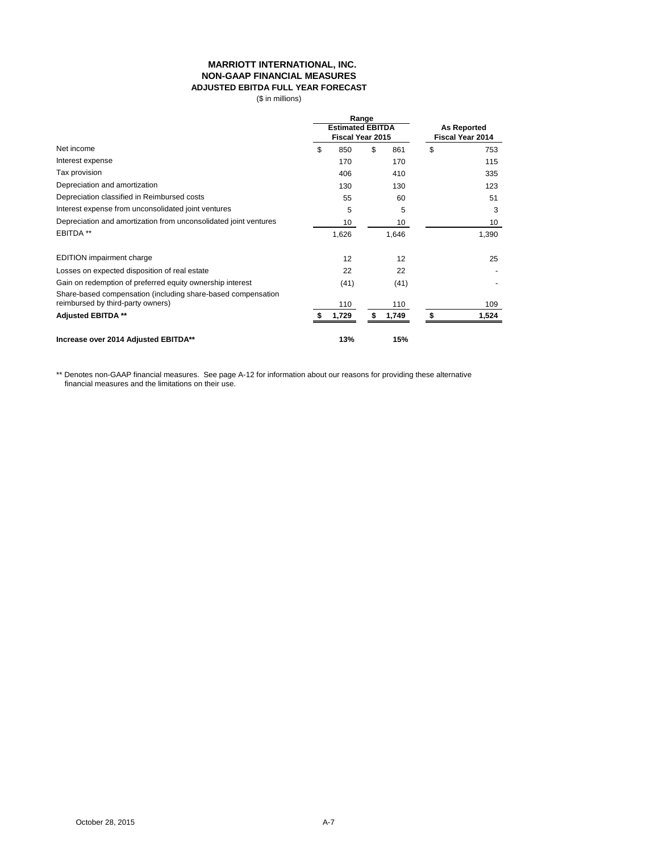### **MARRIOTT INTERNATIONAL, INC. NON-GAAP FINANCIAL MEASURES ADJUSTED EBITDA FULL YEAR FORECAST**

(\$ in millions)

|                                                                                                   | Range<br><b>Estimated EBITDA</b><br>Fiscal Year 2015 |       |    |       | <b>As Reported</b><br>Fiscal Year 2014 |       |  |
|---------------------------------------------------------------------------------------------------|------------------------------------------------------|-------|----|-------|----------------------------------------|-------|--|
| Net income                                                                                        | \$                                                   | 850   | \$ | 861   | \$                                     | 753   |  |
| Interest expense                                                                                  |                                                      | 170   |    | 170   |                                        | 115   |  |
| Tax provision                                                                                     |                                                      | 406   |    | 410   |                                        | 335   |  |
| Depreciation and amortization                                                                     |                                                      | 130   |    | 130   |                                        | 123   |  |
| Depreciation classified in Reimbursed costs                                                       |                                                      | 55    |    | 60    |                                        | 51    |  |
| Interest expense from unconsolidated joint ventures                                               |                                                      | 5     |    | 5     |                                        | 3     |  |
| Depreciation and amortization from unconsolidated joint ventures                                  |                                                      | 10    |    | 10    |                                        | 10    |  |
| EBITDA **                                                                                         |                                                      | 1,626 |    | 1,646 |                                        | 1,390 |  |
| EDITION impairment charge                                                                         |                                                      | 12    |    | 12    |                                        | 25    |  |
| Losses on expected disposition of real estate                                                     |                                                      | 22    |    | 22    |                                        |       |  |
| Gain on redemption of preferred equity ownership interest                                         |                                                      | (41)  |    | (41)  |                                        |       |  |
| Share-based compensation (including share-based compensation<br>reimbursed by third-party owners) |                                                      | 110   |    | 110   |                                        | 109   |  |
| <b>Adjusted EBITDA **</b>                                                                         |                                                      | 1,729 |    | 1,749 |                                        | 1,524 |  |
| Increase over 2014 Adjusted EBITDA**                                                              |                                                      | 13%   |    | 15%   |                                        |       |  |

\*\* Denotes non-GAAP financial measures. See page A-12 for information about our reasons for providing these alternative financial measures and the limitations on their use.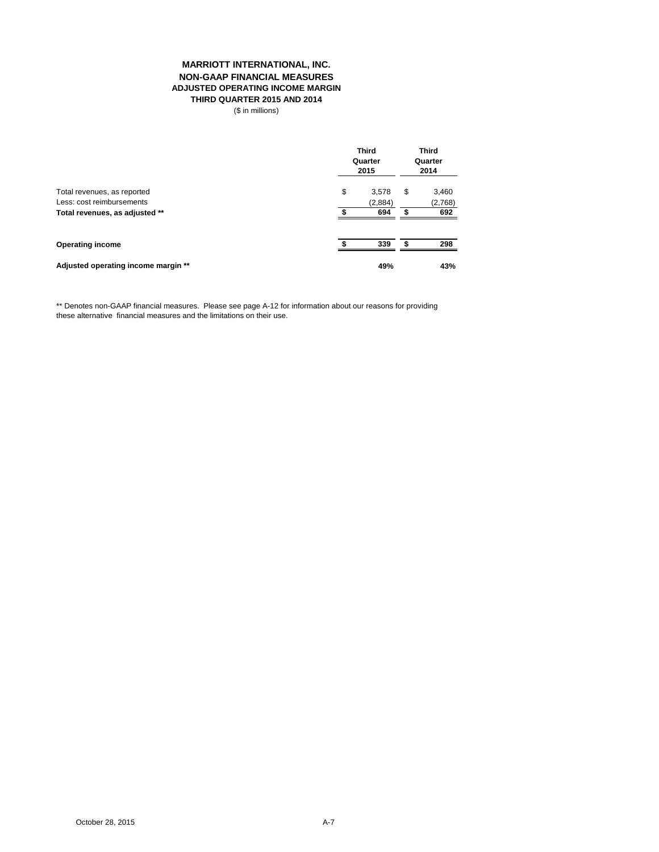### **MARRIOTT INTERNATIONAL, INC. NON-GAAP FINANCIAL MEASURES ADJUSTED OPERATING INCOME MARGIN THIRD QUARTER 2015 AND 2014**

(\$ in millions)

|                                     | <b>Third</b><br>Quarter<br>2015 |    | <b>Third</b><br>Quarter<br>2014 |  |
|-------------------------------------|---------------------------------|----|---------------------------------|--|
| Total revenues, as reported         | \$<br>3,578                     | \$ | 3,460                           |  |
| Less: cost reimbursements           | (2,884)                         |    | (2,768)                         |  |
| Total revenues, as adjusted **      | 694                             |    | 692                             |  |
| <b>Operating income</b>             | 339                             |    | 298                             |  |
| Adjusted operating income margin ** | 49%                             |    | 43%                             |  |

\*\* Denotes non-GAAP financial measures. Please see page A-12 for information about our reasons for providing these alternative financial measures and the limitations on their use.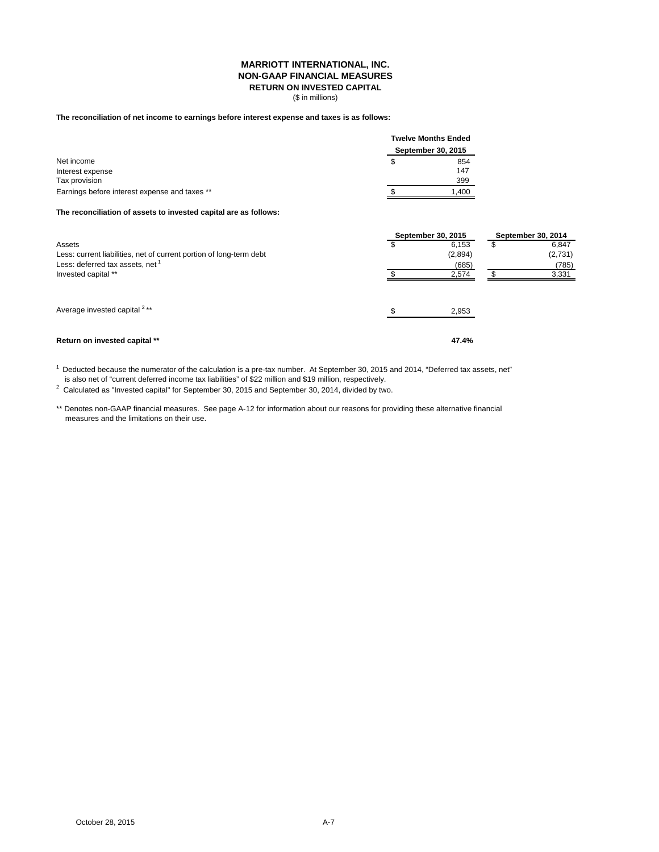### **MARRIOTT INTERNATIONAL, INC. NON-GAAP FINANCIAL MEASURES RETURN ON INVESTED CAPITAL**

(\$ in millions)

# **The reconciliation of net income to earnings before interest expense and taxes is as follows:**

|                                               |   | <b>Twelve Months Ended</b> |  |  |  |
|-----------------------------------------------|---|----------------------------|--|--|--|
|                                               |   | September 30, 2015         |  |  |  |
| Net income                                    | S | 854                        |  |  |  |
| Interest expense                              |   | 147                        |  |  |  |
| Tax provision                                 |   | 399                        |  |  |  |
| Earnings before interest expense and taxes ** |   | 1.400                      |  |  |  |

**The reconciliation of assets to invested capital are as follows:**

|                                                                     | September 30, 2015 | September 30, 2014 |  |         |
|---------------------------------------------------------------------|--------------------|--------------------|--|---------|
| Assets                                                              |                    | 6.153              |  | 6,847   |
| Less: current liabilities, net of current portion of long-term debt |                    | (2,894)            |  | (2,731) |
| Less: deferred tax assets, net <sup>1</sup>                         |                    | (685)              |  | (785)   |
| Invested capital **                                                 |                    | 2,574              |  | 3,331   |
| Average invested capital <sup>2**</sup>                             |                    | 2.953              |  |         |
| Return on invested capital **                                       |                    | 47.4%              |  |         |

1 Deducted because the numerator of the calculation is a pre-tax number. At September 30, 2015 and 2014, "Deferred tax assets, net"

is also net of "current deferred income tax liabilities" of \$22 million and \$19 million, respectively.

 $2$  Calculated as "Invested capital" for September 30, 2015 and September 30, 2014, divided by two.

\*\* Denotes non-GAAP financial measures. See page A-12 for information about our reasons for providing these alternative financial measures and the limitations on their use.